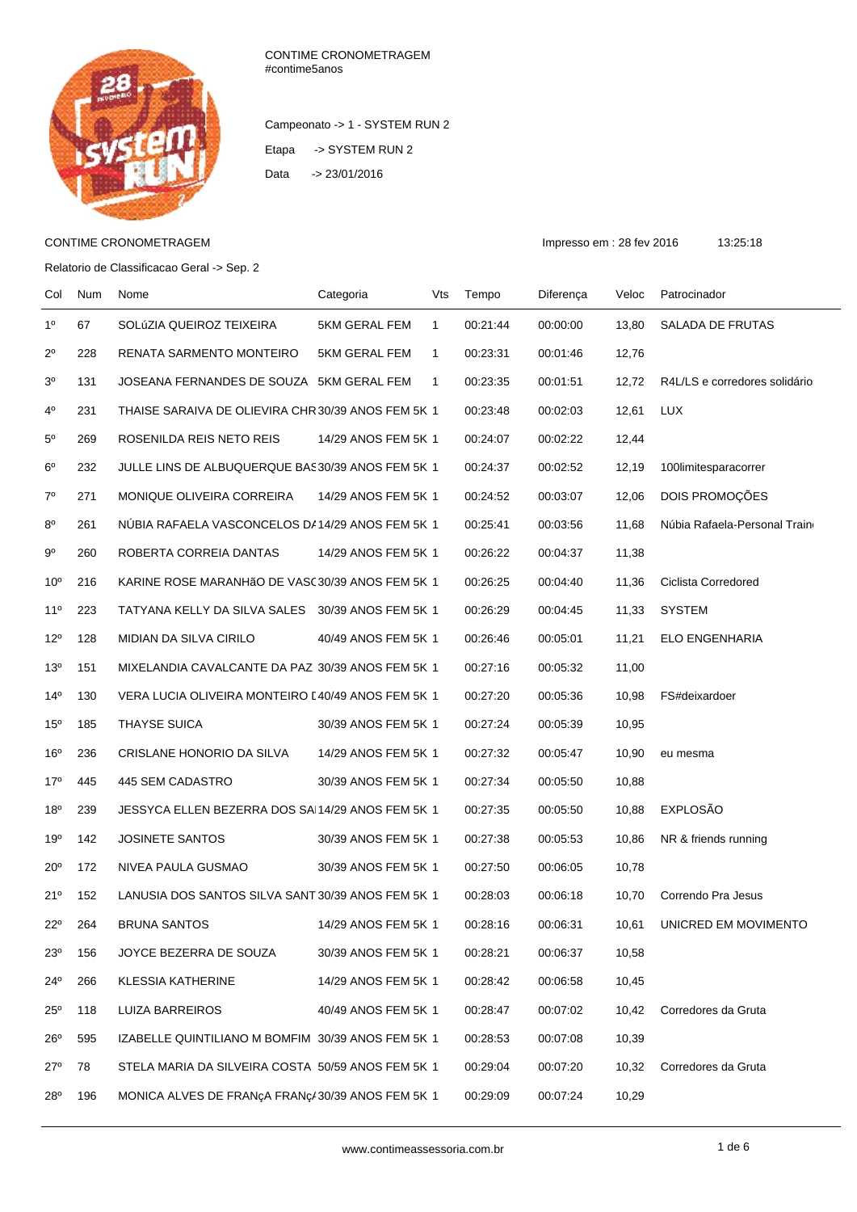

CONTIME CRONOMETRAGEM #contime5anos

Campeonato -> 1 - SYSTEM RUN 2 Etapa -> SYSTEM RUN 2 Data -> 23/01/2016

## CONTIME CRONOMETRAGEM **Impresso em : 28 fev 2016** 13:25:18

Relatorio de Classificacao Geral -> Sep. 2

| Col             | Num | Nome                                               | Categoria           | Vts          | Tempo    | Diferença | Veloc | Patrocinador                  |
|-----------------|-----|----------------------------------------------------|---------------------|--------------|----------|-----------|-------|-------------------------------|
| 1 <sup>0</sup>  | 67  | SOLÚZIA QUEIROZ TEIXEIRA                           | 5KM GERAL FEM       | $\mathbf{1}$ | 00:21:44 | 00:00:00  | 13,80 | SALADA DE FRUTAS              |
| $2^{\circ}$     | 228 | RENATA SARMENTO MONTEIRO                           | 5KM GERAL FEM       | $\mathbf{1}$ | 00:23:31 | 00:01:46  | 12,76 |                               |
| 3 <sup>0</sup>  | 131 | JOSEANA FERNANDES DE SOUZA 5KM GERAL FEM           |                     | $\mathbf{1}$ | 00:23:35 | 00:01:51  | 12,72 | R4L/LS e corredores solidário |
| $4^{\circ}$     | 231 | THAISE SARAIVA DE OLIEVIRA CHR 30/39 ANOS FEM 5K 1 |                     |              | 00:23:48 | 00:02:03  | 12,61 | <b>LUX</b>                    |
| $5^{\circ}$     | 269 | ROSENILDA REIS NETO REIS                           | 14/29 ANOS FEM 5K 1 |              | 00:24:07 | 00:02:22  | 12,44 |                               |
| 6 <sup>o</sup>  | 232 | JULLE LINS DE ALBUQUERQUE BAS30/39 ANOS FEM 5K 1   |                     |              | 00:24:37 | 00:02:52  | 12,19 | 100limitesparacorrer          |
| $7^{\circ}$     | 271 | MONIQUE OLIVEIRA CORREIRA                          | 14/29 ANOS FEM 5K 1 |              | 00:24:52 | 00:03:07  | 12,06 | DOIS PROMOÇÕES                |
| $8^{\circ}$     | 261 | NUBIA RAFAELA VASCONCELOS DA14/29 ANOS FEM 5K 1    |                     |              | 00:25:41 | 00:03:56  | 11,68 | Núbia Rafaela-Personal Train  |
| $9^{\circ}$     | 260 | ROBERTA CORREIA DANTAS                             | 14/29 ANOS FEM 5K 1 |              | 00:26:22 | 00:04:37  | 11,38 |                               |
| 10 <sup>o</sup> | 216 | KARINE ROSE MARANHÃO DE VASC30/39 ANOS FEM 5K 1    |                     |              | 00:26:25 | 00:04:40  | 11,36 | Ciclista Corredored           |
| $11^{\circ}$    | 223 | TATYANA KELLY DA SILVA SALES 30/39 ANOS FEM 5K 1   |                     |              | 00:26:29 | 00:04:45  | 11,33 | <b>SYSTEM</b>                 |
| $12^{\circ}$    | 128 | MIDIAN DA SILVA CIRILO                             | 40/49 ANOS FEM 5K 1 |              | 00:26:46 | 00:05:01  | 11,21 | ELO ENGENHARIA                |
| 13 <sup>0</sup> | 151 | MIXELANDIA CAVALCANTE DA PAZ 30/39 ANOS FEM 5K 1   |                     |              | 00:27:16 | 00:05:32  | 11,00 |                               |
| $14^{\circ}$    | 130 | VERA LUCIA OLIVEIRA MONTEIRO [40/49 ANOS FEM 5K 1  |                     |              | 00:27:20 | 00:05:36  | 10,98 | FS#deixardoer                 |
| 15 <sup>0</sup> | 185 | <b>THAYSE SUICA</b>                                | 30/39 ANOS FEM 5K 1 |              | 00:27:24 | 00:05:39  | 10,95 |                               |
| 16 <sup>o</sup> | 236 | CRISLANE HONORIO DA SILVA                          | 14/29 ANOS FEM 5K 1 |              | 00:27:32 | 00:05:47  | 10,90 | eu mesma                      |
| 17°             | 445 | 445 SEM CADASTRO                                   | 30/39 ANOS FEM 5K 1 |              | 00:27:34 | 00:05:50  | 10,88 |                               |
| 18 <sup>0</sup> | 239 | JESSYCA ELLEN BEZERRA DOS SAI14/29 ANOS FEM 5K 1   |                     |              | 00:27:35 | 00:05:50  | 10,88 | <b>EXPLOSÃO</b>               |
| 19°             | 142 | <b>JOSINETE SANTOS</b>                             | 30/39 ANOS FEM 5K 1 |              | 00:27:38 | 00:05:53  | 10,86 | NR & friends running          |
| $20^{\circ}$    | 172 | NIVEA PAULA GUSMAO                                 | 30/39 ANOS FEM 5K 1 |              | 00:27:50 | 00:06:05  | 10,78 |                               |
| 21°             | 152 | LANUSIA DOS SANTOS SILVA SANT 30/39 ANOS FEM 5K 1  |                     |              | 00:28:03 | 00:06:18  | 10,70 | Correndo Pra Jesus            |
| $22^{\circ}$    | 264 | <b>BRUNA SANTOS</b>                                | 14/29 ANOS FEM 5K 1 |              | 00:28:16 | 00:06:31  | 10,61 | UNICRED EM MOVIMENTO          |
| 23 <sup>0</sup> | 156 | JOYCE BEZERRA DE SOUZA                             | 30/39 ANOS FEM 5K 1 |              | 00:28:21 | 00:06:37  | 10,58 |                               |
| $24^{\circ}$    | 266 | <b>KLESSIA KATHERINE</b>                           | 14/29 ANOS FEM 5K 1 |              | 00:28:42 | 00:06:58  | 10,45 |                               |
| $25^{\circ}$    | 118 | LUIZA BARREIROS                                    | 40/49 ANOS FEM 5K 1 |              | 00:28:47 | 00:07:02  | 10,42 | Corredores da Gruta           |
| $26^{\circ}$    | 595 | IZABELLE QUINTILIANO M BOMFIM 30/39 ANOS FEM 5K 1  |                     |              | 00:28:53 | 00:07:08  | 10,39 |                               |
| 27°             | 78  | STELA MARIA DA SILVEIRA COSTA 50/59 ANOS FEM 5K 1  |                     |              | 00:29:04 | 00:07:20  | 10,32 | Corredores da Gruta           |
| 28°             | 196 | MONICA ALVES DE FRANÇA FRANÇA 30/39 ANOS FEM 5K 1  |                     |              | 00:29:09 | 00:07:24  | 10,29 |                               |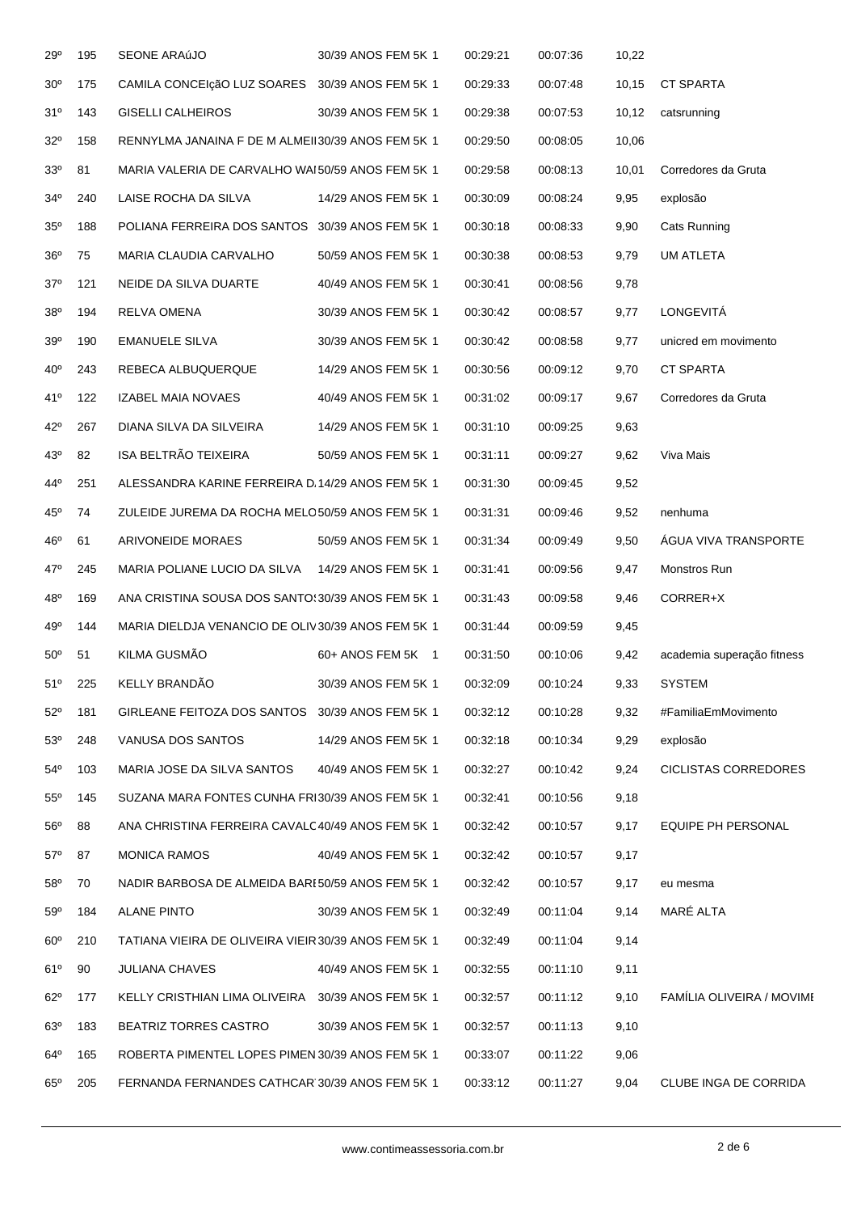| 29°             | 195 | SEONE ARAúJO                                         | 30/39 ANOS FEM 5K 1 | 00:29:21 | 00:07:36 | 10,22  |                             |
|-----------------|-----|------------------------------------------------------|---------------------|----------|----------|--------|-----------------------------|
| 30 <sup>o</sup> | 175 | CAMILA CONCEIçãO LUZ SOARES 30/39 ANOS FEM 5K 1      |                     | 00:29:33 | 00:07:48 | 10,15  | <b>CT SPARTA</b>            |
| 31°             | 143 | <b>GISELLI CALHEIROS</b>                             | 30/39 ANOS FEM 5K 1 | 00:29:38 | 00:07:53 | 10, 12 | catsrunning                 |
| $32^{\circ}$    | 158 | RENNYLMA JANAINA F DE M ALMEII30/39 ANOS FEM 5K 1    |                     | 00:29:50 | 00:08:05 | 10,06  |                             |
| 33 <sup>0</sup> | 81  | MARIA VALERIA DE CARVALHO WAI 50/59 ANOS FEM 5K 1    |                     | 00:29:58 | 00:08:13 | 10,01  | Corredores da Gruta         |
| $34^{\circ}$    | 240 | LAISE ROCHA DA SILVA                                 | 14/29 ANOS FEM 5K 1 | 00:30:09 | 00:08:24 | 9,95   | explosão                    |
| $35^{\rm o}$    | 188 | POLIANA FERREIRA DOS SANTOS 30/39 ANOS FEM 5K 1      |                     | 00:30:18 | 00:08:33 | 9,90   | Cats Running                |
| 36 <sup>o</sup> | 75  | MARIA CLAUDIA CARVALHO                               | 50/59 ANOS FEM 5K 1 | 00:30:38 | 00:08:53 | 9,79   | <b>UM ATLETA</b>            |
| $37^\circ$      | 121 | NEIDE DA SILVA DUARTE                                | 40/49 ANOS FEM 5K 1 | 00:30:41 | 00:08:56 | 9,78   |                             |
| 38 <sup>o</sup> | 194 | RELVA OMENA                                          | 30/39 ANOS FEM 5K 1 | 00:30:42 | 00:08:57 | 9,77   | LONGEVITÁ                   |
| 39 <sup>o</sup> | 190 | <b>EMANUELE SILVA</b>                                | 30/39 ANOS FEM 5K 1 | 00:30:42 | 00:08:58 | 9,77   | unicred em movimento        |
| 40 <sup>o</sup> | 243 | REBECA ALBUQUERQUE                                   | 14/29 ANOS FEM 5K 1 | 00:30:56 | 00:09:12 | 9,70   | <b>CT SPARTA</b>            |
| 41°             | 122 | <b>IZABEL MAIA NOVAES</b>                            | 40/49 ANOS FEM 5K 1 | 00:31:02 | 00:09:17 | 9,67   | Corredores da Gruta         |
| 42°             | 267 | DIANA SILVA DA SILVEIRA                              | 14/29 ANOS FEM 5K 1 | 00:31:10 | 00:09:25 | 9,63   |                             |
| 43°             | 82  | ISA BELTRÃO TEIXEIRA                                 | 50/59 ANOS FEM 5K 1 | 00:31:11 | 00:09:27 | 9,62   | Viva Mais                   |
| 44°             | 251 | ALESSANDRA KARINE FERREIRA D.14/29 ANOS FEM 5K 1     |                     | 00:31:30 | 00:09:45 | 9,52   |                             |
| $45^{\circ}$    | 74  | ZULEIDE JUREMA DA ROCHA MELO50/59 ANOS FEM 5K 1      |                     | 00:31:31 | 00:09:46 | 9,52   | nenhuma                     |
| 46°             | 61  | ARIVONEIDE MORAES                                    | 50/59 ANOS FEM 5K 1 | 00:31:34 | 00:09:49 | 9,50   | <b>AGUA VIVA TRANSPORTE</b> |
| 47°             | 245 | MARIA POLIANE LUCIO DA SILVA                         | 14/29 ANOS FEM 5K 1 | 00:31:41 | 00:09:56 | 9,47   | Monstros Run                |
| 48°             | 169 | ANA CRISTINA SOUSA DOS SANTO 30/39 ANOS FEM 5K 1     |                     | 00:31:43 | 00:09:58 | 9,46   | CORRER+X                    |
| 49°             | 144 | MARIA DIELDJA VENANCIO DE OLIV30/39 ANOS FEM 5K 1    |                     | 00:31:44 | 00:09:59 | 9,45   |                             |
| $50^{\circ}$    | 51  | KILMA GUSMÃO                                         | 60+ ANOS FEM 5K 1   | 00:31:50 | 00:10:06 | 9,42   | academia superação fitness  |
| 51°             | 225 | KELLY BRANDÃO                                        | 30/39 ANOS FEM 5K 1 | 00:32:09 | 00:10:24 | 9,33   | <b>SYSTEM</b>               |
| $52^{\circ}$    | 181 | GIRLEANE FEITOZA DOS SANTOS 30/39 ANOS FEM 5K 1      |                     | 00:32:12 | 00:10:28 | 9,32   | #FamiliaEmMovimento         |
| 53°             | 248 | VANUSA DOS SANTOS                                    | 14/29 ANOS FEM 5K 1 | 00:32:18 | 00:10:34 | 9,29   | explosão                    |
| $54^{\circ}$    | 103 | MARIA JOSE DA SILVA SANTOS                           | 40/49 ANOS FEM 5K 1 | 00:32:27 | 00:10:42 | 9,24   | <b>CICLISTAS CORREDORES</b> |
| $55^{\circ}$    | 145 | SUZANA MARA FONTES CUNHA FRI30/39 ANOS FEM 5K 1      |                     | 00:32:41 | 00:10:56 | 9,18   |                             |
| $56^{\circ}$    | 88  | ANA CHRISTINA FERREIRA CAVALC40/49 ANOS FEM 5K 1     |                     | 00:32:42 | 00:10:57 | 9,17   | EQUIPE PH PERSONAL          |
| $57^\circ$      | 87  | <b>MONICA RAMOS</b>                                  | 40/49 ANOS FEM 5K 1 | 00:32:42 | 00:10:57 | 9,17   |                             |
| $58^{\rm o}$    | 70  | NADIR BARBOSA DE ALMEIDA BARE50/59 ANOS FEM 5K 1     |                     | 00:32:42 | 00:10:57 | 9,17   | eu mesma                    |
| 59°             | 184 | <b>ALANE PINTO</b>                                   | 30/39 ANOS FEM 5K 1 | 00:32:49 | 00:11:04 | 9,14   | MARÉ ALTA                   |
| $60^{\circ}$    | 210 | TATIANA VIEIRA DE OLIVEIRA VIEIR 30/39 ANOS FEM 5K 1 |                     | 00:32:49 | 00:11:04 | 9,14   |                             |
| 61°             | 90  | JULIANA CHAVES                                       | 40/49 ANOS FEM 5K 1 | 00:32:55 | 00:11:10 | 9,11   |                             |
| $62^{\circ}$    | 177 | KELLY CRISTHIAN LIMA OLIVEIRA 30/39 ANOS FEM 5K 1    |                     | 00:32:57 | 00:11:12 | 9,10   | FAMILIA OLIVEIRA / MOVIME   |
| 63°             | 183 | <b>BEATRIZ TORRES CASTRO</b>                         | 30/39 ANOS FEM 5K 1 | 00:32:57 | 00:11:13 | 9,10   |                             |
| $64^{\circ}$    | 165 | ROBERTA PIMENTEL LOPES PIMEN 30/39 ANOS FEM 5K 1     |                     | 00:33:07 | 00:11:22 | 9,06   |                             |
| $65^\circ$      | 205 | FERNANDA FERNANDES CATHCAR 30/39 ANOS FEM 5K 1       |                     | 00:33:12 | 00:11:27 | 9,04   | CLUBE INGA DE CORRIDA       |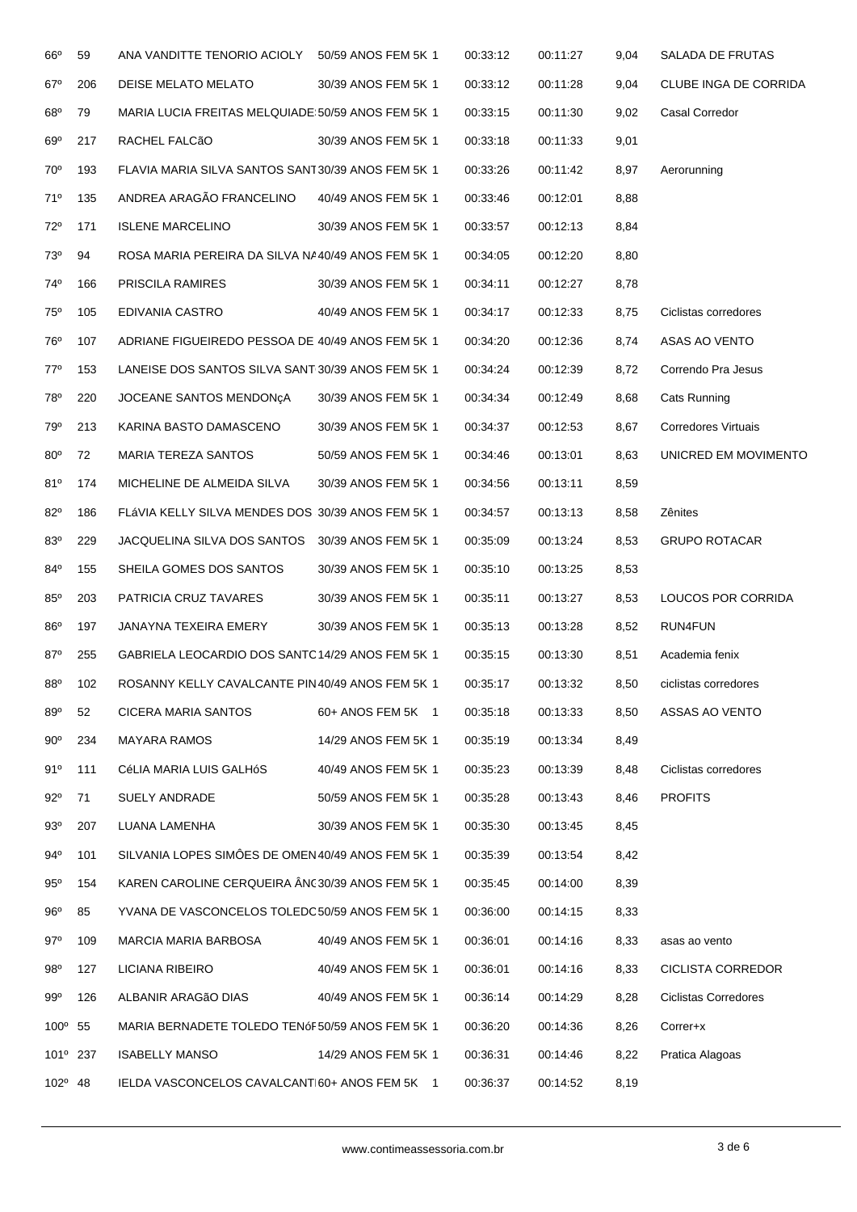| $66^{\circ}$         | 59  | ANA VANDITTE TENORIO ACIOLY                        | 50/59 ANOS FEM 5K 1 | 00:33:12 | 00:11:27 | 9,04 | SALADA DE FRUTAS            |
|----------------------|-----|----------------------------------------------------|---------------------|----------|----------|------|-----------------------------|
| 67°                  | 206 | DEISE MELATO MELATO                                | 30/39 ANOS FEM 5K 1 | 00:33:12 | 00:11:28 | 9,04 | CLUBE INGA DE CORRIDA       |
| $68^{\rm o}$         | 79  | MARIA LUCIA FREITAS MELQUIADE: 50/59 ANOS FEM 5K 1 |                     | 00:33:15 | 00:11:30 | 9,02 | Casal Corredor              |
| 69°                  | 217 | RACHEL FALCÃO                                      | 30/39 ANOS FEM 5K 1 | 00:33:18 | 00:11:33 | 9,01 |                             |
| 70°                  | 193 | FLAVIA MARIA SILVA SANTOS SANT30/39 ANOS FEM 5K 1  |                     | 00:33:26 | 00:11:42 | 8,97 | Aerorunning                 |
| 71°                  | 135 | ANDREA ARAGÃO FRANCELINO                           | 40/49 ANOS FEM 5K 1 | 00:33:46 | 00:12:01 | 8,88 |                             |
| $72^{\circ}$         | 171 | <b>ISLENE MARCELINO</b>                            | 30/39 ANOS FEM 5K 1 | 00:33:57 | 00:12:13 | 8,84 |                             |
| 73°                  | 94  | ROSA MARIA PEREIRA DA SILVA NA40/49 ANOS FEM 5K 1  |                     | 00:34:05 | 00:12:20 | 8,80 |                             |
| 74°                  | 166 | PRISCILA RAMIRES                                   | 30/39 ANOS FEM 5K 1 | 00:34:11 | 00:12:27 | 8,78 |                             |
| 75°                  | 105 | EDIVANIA CASTRO                                    | 40/49 ANOS FEM 5K 1 | 00:34:17 | 00:12:33 | 8,75 | Ciclistas corredores        |
| 76°                  | 107 | ADRIANE FIGUEIREDO PESSOA DE 40/49 ANOS FEM 5K 1   |                     | 00:34:20 | 00:12:36 | 8,74 | ASAS AO VENTO               |
| $77^\circ$           | 153 | LANEISE DOS SANTOS SILVA SANT 30/39 ANOS FEM 5K 1  |                     | 00:34:24 | 00:12:39 | 8,72 | Correndo Pra Jesus          |
| 78°                  | 220 | JOCEANE SANTOS MENDONCA                            | 30/39 ANOS FEM 5K 1 | 00:34:34 | 00:12:49 | 8,68 | Cats Running                |
| 79°                  | 213 | KARINA BASTO DAMASCENO                             | 30/39 ANOS FEM 5K 1 | 00:34:37 | 00:12:53 | 8,67 | <b>Corredores Virtuais</b>  |
| $80^\circ$           | 72  | MARIA TEREZA SANTOS                                | 50/59 ANOS FEM 5K 1 | 00:34:46 | 00:13:01 | 8,63 | UNICRED EM MOVIMENTO        |
| 81°                  | 174 | MICHELINE DE ALMEIDA SILVA                         | 30/39 ANOS FEM 5K 1 | 00:34:56 | 00:13:11 | 8,59 |                             |
| 82°                  | 186 | FLÁVIA KELLY SILVA MENDES DOS 30/39 ANOS FEM 5K 1  |                     | 00:34:57 | 00:13:13 | 8,58 | Zênites                     |
| 83°                  | 229 | JACQUELINA SILVA DOS SANTOS                        | 30/39 ANOS FEM 5K 1 | 00:35:09 | 00:13:24 | 8,53 | <b>GRUPO ROTACAR</b>        |
| 84°                  | 155 | SHEILA GOMES DOS SANTOS                            | 30/39 ANOS FEM 5K 1 | 00:35:10 | 00:13:25 | 8,53 |                             |
| $85^\circ$           | 203 | PATRICIA CRUZ TAVARES                              | 30/39 ANOS FEM 5K 1 | 00:35:11 | 00:13:27 | 8,53 | LOUCOS POR CORRIDA          |
| 86°                  | 197 | JANAYNA TEXEIRA EMERY                              | 30/39 ANOS FEM 5K 1 | 00:35:13 | 00:13:28 | 8,52 | RUN4FUN                     |
| $87^\circ$           | 255 | GABRIELA LEOCARDIO DOS SANTO 14/29 ANOS FEM 5K 1   |                     | 00:35:15 | 00:13:30 | 8,51 | Academia fenix              |
| 88 <sup>°</sup>      | 102 | ROSANNY KELLY CAVALCANTE PIN 40/49 ANOS FEM 5K 1   |                     | 00:35:17 | 00:13:32 | 8,50 | ciclistas corredores        |
| 89°                  | 52  | CICERA MARIA SANTOS                                | 60+ ANOS FEM 5K 1   | 00:35:18 | 00:13:33 | 8,50 | ASSAS AO VENTO              |
| $90^{\circ}$         | 234 | <b>MAYARA RAMOS</b>                                | 14/29 ANOS FEM 5K 1 | 00:35:19 | 00:13:34 | 8,49 |                             |
| 91°                  | 111 | CéLIA MARIA LUIS GALHÓS                            | 40/49 ANOS FEM 5K 1 | 00:35:23 | 00:13:39 | 8,48 | Ciclistas corredores        |
| $92^{\circ}$         | 71  | SUELY ANDRADE                                      | 50/59 ANOS FEM 5K 1 | 00:35:28 | 00:13:43 | 8,46 | <b>PROFITS</b>              |
| 93°                  | 207 | LUANA LAMENHA                                      | 30/39 ANOS FEM 5K 1 | 00:35:30 | 00:13:45 | 8,45 |                             |
| 94°                  | 101 | SILVANIA LOPES SIMÔES DE OMEN 40/49 ANOS FEM 5K 1  |                     | 00:35:39 | 00:13:54 | 8,42 |                             |
| $95^\circ$           | 154 | KAREN CAROLINE CERQUEIRA ÂNC30/39 ANOS FEM 5K 1    |                     | 00:35:45 | 00:14:00 | 8,39 |                             |
| 96°                  | 85  | YVANA DE VASCONCELOS TOLEDO50/59 ANOS FEM 5K 1     |                     | 00:36:00 | 00:14:15 | 8,33 |                             |
| $97^\circ$           | 109 | MARCIA MARIA BARBOSA                               | 40/49 ANOS FEM 5K 1 | 00:36:01 | 00:14:16 | 8,33 | asas ao vento               |
| 98°                  | 127 | LICIANA RIBEIRO                                    | 40/49 ANOS FEM 5K 1 | 00:36:01 | 00:14:16 | 8,33 | <b>CICLISTA CORREDOR</b>    |
| 99°                  | 126 | ALBANIR ARAGÃO DIAS                                | 40/49 ANOS FEM 5K 1 | 00:36:14 | 00:14:29 | 8,28 | <b>Ciclistas Corredores</b> |
| 100° 55              |     | MARIA BERNADETE TOLEDO TENÓF50/59 ANOS FEM 5K 1    |                     | 00:36:20 | 00:14:36 | 8,26 | Correr+x                    |
| 101 <sup>°</sup> 237 |     | <b>ISABELLY MANSO</b>                              | 14/29 ANOS FEM 5K 1 | 00:36:31 | 00:14:46 | 8,22 | Pratica Alagoas             |
| $102^{\circ}$ 48     |     | IELDA VASCONCELOS CAVALCANTI60+ ANOS FEM 5K 1      |                     | 00:36:37 | 00:14:52 | 8,19 |                             |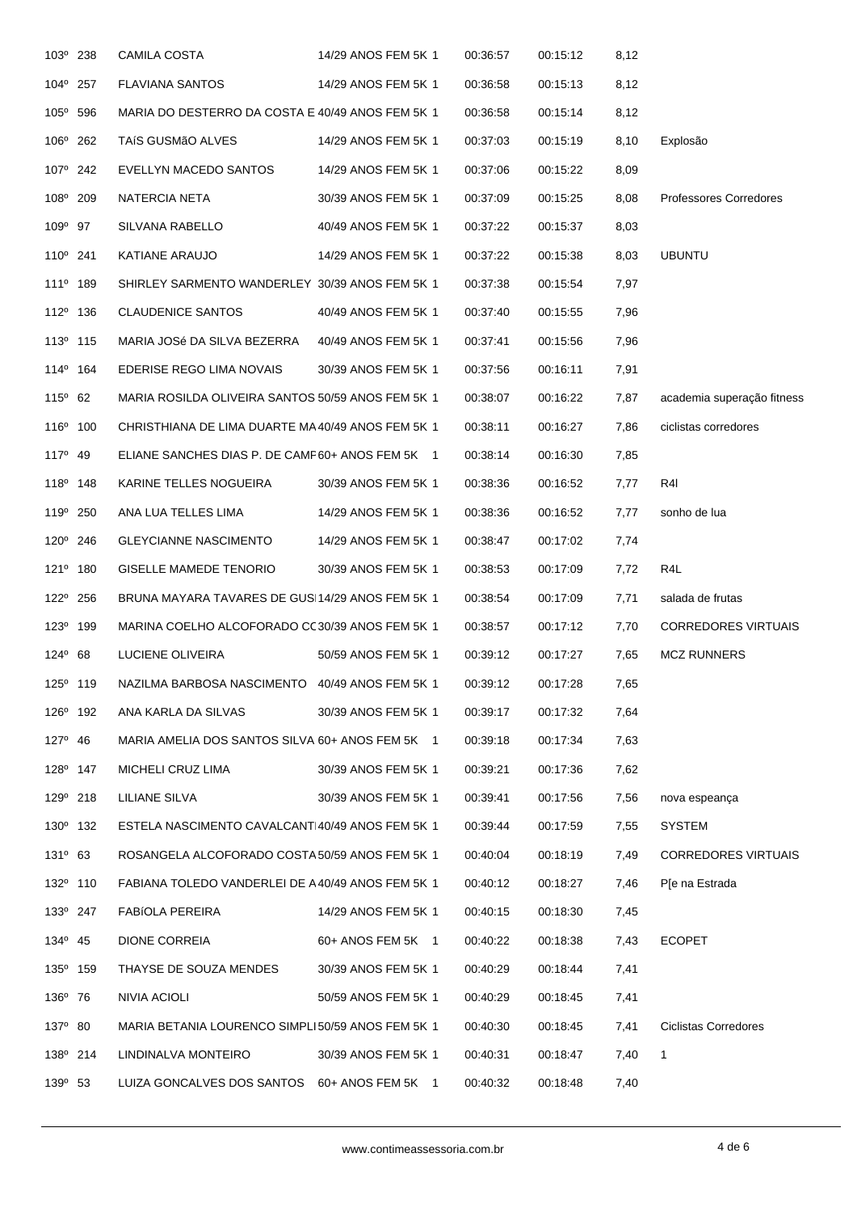| 103 <sup>°</sup> 238 | <b>CAMILA COSTA</b>                               | 14/29 ANOS FEM 5K 1 | 00:36:57 | 00:15:12 | 8,12 |                             |
|----------------------|---------------------------------------------------|---------------------|----------|----------|------|-----------------------------|
| 104° 257             | <b>FLAVIANA SANTOS</b>                            | 14/29 ANOS FEM 5K 1 | 00:36:58 | 00:15:13 | 8,12 |                             |
| 105° 596             | MARIA DO DESTERRO DA COSTA E 40/49 ANOS FEM 5K 1  |                     | 00:36:58 | 00:15:14 | 8,12 |                             |
| 106° 262             | TAÍS GUSMÃO ALVES                                 | 14/29 ANOS FEM 5K 1 | 00:37:03 | 00:15:19 | 8,10 | Explosão                    |
| 107 <sup>°</sup> 242 | EVELLYN MACEDO SANTOS                             | 14/29 ANOS FEM 5K 1 | 00:37:06 | 00:15:22 | 8,09 |                             |
| 108° 209             | NATERCIA NETA                                     | 30/39 ANOS FEM 5K 1 | 00:37:09 | 00:15:25 | 8,08 | Professores Corredores      |
| 109 <sup>°</sup> 97  | SILVANA RABELLO                                   | 40/49 ANOS FEM 5K 1 | 00:37:22 | 00:15:37 | 8,03 |                             |
| 110° 241             | KATIANE ARAUJO                                    | 14/29 ANOS FEM 5K 1 | 00:37:22 | 00:15:38 | 8,03 | <b>UBUNTU</b>               |
| 111 <sup>0</sup> 189 | SHIRLEY SARMENTO WANDERLEY 30/39 ANOS FEM 5K 1    |                     | 00:37:38 | 00:15:54 | 7,97 |                             |
| 112 <sup>0</sup> 136 | <b>CLAUDENICE SANTOS</b>                          | 40/49 ANOS FEM 5K 1 | 00:37:40 | 00:15:55 | 7,96 |                             |
| 113º 115             | MARIA JOSé DA SILVA BEZERRA                       | 40/49 ANOS FEM 5K 1 | 00:37:41 | 00:15:56 | 7,96 |                             |
| 114 <sup>°</sup> 164 | EDERISE REGO LIMA NOVAIS                          | 30/39 ANOS FEM 5K 1 | 00:37:56 | 00:16:11 | 7,91 |                             |
| $115^{\circ}$ 62     | MARIA ROSILDA OLIVEIRA SANTOS 50/59 ANOS FEM 5K 1 |                     | 00:38:07 | 00:16:22 | 7,87 | academia superação fitness  |
| 116 <sup>°</sup> 100 | CHRISTHIANA DE LIMA DUARTE MA 40/49 ANOS FEM 5K 1 |                     | 00:38:11 | 00:16:27 | 7,86 | ciclistas corredores        |
| $117^{\circ}$ 49     | ELIANE SANCHES DIAS P. DE CAMP60+ ANOS FEM 5K 1   |                     | 00:38:14 | 00:16:30 | 7,85 |                             |
| $118^{\circ}$ 148    | KARINE TELLES NOGUEIRA                            | 30/39 ANOS FEM 5K 1 | 00:38:36 | 00:16:52 | 7,77 | R4I                         |
| 119 <sup>°</sup> 250 | ANA LUA TELLES LIMA                               | 14/29 ANOS FEM 5K 1 | 00:38:36 | 00:16:52 | 7,77 | sonho de lua                |
| $120^{\circ}$ 246    | <b>GLEYCIANNE NASCIMENTO</b>                      | 14/29 ANOS FEM 5K 1 | 00:38:47 | 00:17:02 | 7,74 |                             |
| 121 <sup>°</sup> 180 | <b>GISELLE MAMEDE TENORIO</b>                     | 30/39 ANOS FEM 5K 1 | 00:38:53 | 00:17:09 | 7,72 | R4L                         |
| 122 <sup>0</sup> 256 | BRUNA MAYARA TAVARES DE GUSI14/29 ANOS FEM 5K 1   |                     | 00:38:54 | 00:17:09 | 7,71 | salada de frutas            |
| 123 <sup>0</sup> 199 | MARINA COELHO ALCOFORADO CC30/39 ANOS FEM 5K 1    |                     | 00:38:57 | 00:17:12 | 7,70 | <b>CORREDORES VIRTUAIS</b>  |
| $124^{\circ}$ 68     | LUCIENE OLIVEIRA                                  | 50/59 ANOS FEM 5K 1 | 00:39:12 | 00:17:27 | 7,65 | <b>MCZ RUNNERS</b>          |
| 125 <sup>°</sup> 119 | NAZILMA BARBOSA NASCIMENTO 40/49 ANOS FEM 5K 1    |                     | 00:39:12 | 00:17:28 | 7,65 |                             |
| 126 <sup>°</sup> 192 | ANA KARLA DA SILVAS                               | 30/39 ANOS FEM 5K 1 | 00:39:17 | 00:17:32 | 7,64 |                             |
| $127^{\circ}$ 46     | MARIA AMELIA DOS SANTOS SILVA 60+ ANOS FEM 5K 1   |                     | 00:39:18 | 00:17:34 | 7,63 |                             |
| 128 <sup>0</sup> 147 | MICHELI CRUZ LIMA                                 | 30/39 ANOS FEM 5K 1 | 00:39:21 | 00:17:36 | 7,62 |                             |
| 129 <sup>°</sup> 218 | <b>LILIANE SILVA</b>                              | 30/39 ANOS FEM 5K 1 | 00:39:41 | 00:17:56 | 7,56 | nova espeança               |
| 130 <sup>°</sup> 132 | ESTELA NASCIMENTO CAVALCANTI40/49 ANOS FEM 5K 1   |                     | 00:39:44 | 00:17:59 | 7,55 | SYSTEM                      |
| $131^{\circ}$ 63     | ROSANGELA ALCOFORADO COSTA 50/59 ANOS FEM 5K 1    |                     | 00:40:04 | 00:18:19 | 7,49 | <b>CORREDORES VIRTUAIS</b>  |
| 132 <sup>°</sup> 110 | FABIANA TOLEDO VANDERLEI DE A40/49 ANOS FEM 5K 1  |                     | 00:40:12 | 00:18:27 | 7,46 | P[e na Estrada              |
| 133º 247             | FABÍOLA PEREIRA                                   | 14/29 ANOS FEM 5K 1 | 00:40:15 | 00:18:30 | 7,45 |                             |
| 134 <sup>°</sup> 45  | <b>DIONE CORREIA</b>                              | 60+ ANOS FEM 5K 1   | 00:40:22 | 00:18:38 | 7,43 | <b>ECOPET</b>               |
| 135 <sup>°</sup> 159 | THAYSE DE SOUZA MENDES                            | 30/39 ANOS FEM 5K 1 | 00:40:29 | 00:18:44 | 7,41 |                             |
| 136 <sup>°</sup> 76  | NIVIA ACIOLI                                      | 50/59 ANOS FEM 5K 1 | 00:40:29 | 00:18:45 | 7,41 |                             |
| 137° 80              | MARIA BETANIA LOURENCO SIMPLI50/59 ANOS FEM 5K 1  |                     | 00:40:30 | 00:18:45 | 7,41 | <b>Ciclistas Corredores</b> |
| 138º 214             | LINDINALVA MONTEIRO                               | 30/39 ANOS FEM 5K 1 | 00:40:31 | 00:18:47 | 7,40 | $\mathbf{1}$                |
| 139 <sup>°</sup> 53  | LUIZA GONCALVES DOS SANTOS 60+ ANOS FEM 5K 1      |                     | 00:40:32 | 00:18:48 | 7,40 |                             |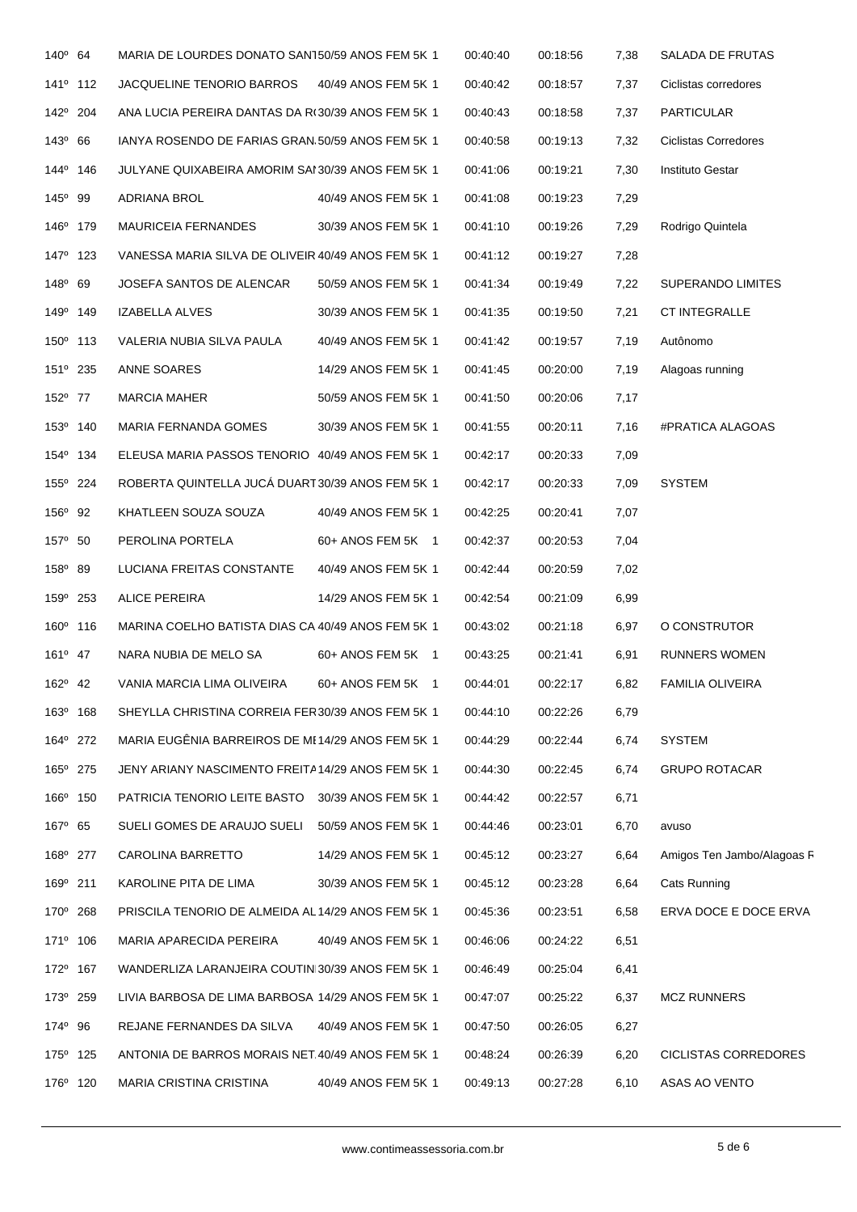| $140^{\circ}$ 64     | MARIA DE LOURDES DONATO SAN150/59 ANOS FEM 5K 1    |                     | 00:40:40 | 00:18:56 | 7,38  | SALADA DE FRUTAS            |
|----------------------|----------------------------------------------------|---------------------|----------|----------|-------|-----------------------------|
| 141 <sup>o</sup> 112 | JACQUELINE TENORIO BARROS                          | 40/49 ANOS FEM 5K 1 | 00:40:42 | 00:18:57 | 7,37  | Ciclistas corredores        |
| 142 <sup>°</sup> 204 | ANA LUCIA PEREIRA DANTAS DA R(30/39 ANOS FEM 5K 1  |                     | 00:40:43 | 00:18:58 | 7,37  | <b>PARTICULAR</b>           |
| $143^{\circ}$ 66     | IANYA ROSENDO DE FARIAS GRAN 50/59 ANOS FEM 5K 1   |                     | 00:40:58 | 00:19:13 | 7,32  | <b>Ciclistas Corredores</b> |
| 144 <sup>°</sup> 146 | JULYANE QUIXABEIRA AMORIM SAI 30/39 ANOS FEM 5K 1  |                     | 00:41:06 | 00:19:21 | 7,30  | Instituto Gestar            |
| $145^{\circ}$ 99     | ADRIANA BROL                                       | 40/49 ANOS FEM 5K 1 | 00:41:08 | 00:19:23 | 7,29  |                             |
| 146 <sup>°</sup> 179 | <b>MAURICEIA FERNANDES</b>                         | 30/39 ANOS FEM 5K 1 | 00:41:10 | 00:19:26 | 7,29  | Rodrigo Quintela            |
| 147 <sup>°</sup> 123 | VANESSA MARIA SILVA DE OLIVEIR 40/49 ANOS FEM 5K 1 |                     | 00:41:12 | 00:19:27 | 7,28  |                             |
| $148^{\circ}$ 69     | JOSEFA SANTOS DE ALENCAR                           | 50/59 ANOS FEM 5K 1 | 00:41:34 | 00:19:49 | 7,22  | SUPERANDO LIMITES           |
| 149 <sup>°</sup> 149 | IZABELLA ALVES                                     | 30/39 ANOS FEM 5K 1 | 00:41:35 | 00:19:50 | 7,21  | CT INTEGRALLE               |
| 150° 113             | VALERIA NUBIA SILVA PAULA                          | 40/49 ANOS FEM 5K 1 | 00:41:42 | 00:19:57 | 7,19  | Autônomo                    |
| 151 <sup>°</sup> 235 | ANNE SOARES                                        | 14/29 ANOS FEM 5K 1 | 00:41:45 | 00:20:00 | 7,19  | Alagoas running             |
| 152 <sup>°</sup> 77  | <b>MARCIA MAHER</b>                                | 50/59 ANOS FEM 5K 1 | 00:41:50 | 00:20:06 | 7,17  |                             |
| 153º 140             | MARIA FERNANDA GOMES                               | 30/39 ANOS FEM 5K 1 | 00:41:55 | 00:20:11 | 7,16  | #PRATICA ALAGOAS            |
| 154 <sup>°</sup> 134 | ELEUSA MARIA PASSOS TENORIO 40/49 ANOS FEM 5K 1    |                     | 00:42:17 | 00:20:33 | 7,09  |                             |
| 155° 224             | ROBERTA QUINTELLA JUCÁ DUART 30/39 ANOS FEM 5K 1   |                     | 00:42:17 | 00:20:33 | 7,09  | <b>SYSTEM</b>               |
| 156 <sup>°</sup> 92  | KHATLEEN SOUZA SOUZA                               | 40/49 ANOS FEM 5K 1 | 00:42:25 | 00:20:41 | 7,07  |                             |
| 157 <sup>°</sup> 50  | PEROLINA PORTELA                                   | 60+ ANOS FEM 5K 1   | 00:42:37 | 00:20:53 | 7,04  |                             |
| 158 <sup>°</sup> 89  | LUCIANA FREITAS CONSTANTE                          | 40/49 ANOS FEM 5K 1 | 00:42:44 | 00:20:59 | 7,02  |                             |
| 159° 253             | ALICE PEREIRA                                      | 14/29 ANOS FEM 5K 1 | 00:42:54 | 00:21:09 | 6,99  |                             |
| 160° 116             | MARINA COELHO BATISTA DIAS CA 40/49 ANOS FEM 5K 1  |                     | 00:43:02 | 00:21:18 | 6,97  | O CONSTRUTOR                |
| $161^{\circ}$ 47     | NARA NUBIA DE MELO SA                              | 60+ ANOS FEM 5K 1   | 00:43:25 | 00:21:41 | 6,91  | <b>RUNNERS WOMEN</b>        |
| $162^{\circ}$ 42     | VANIA MARCIA LIMA OLIVEIRA                         | 60+ ANOS FEM 5K 1   | 00:44:01 | 00:22:17 | 6,82  | FAMILIA OLIVEIRA            |
| 163º 168             | SHEYLLA CHRISTINA CORREIA FER30/39 ANOS FEM 5K 1   |                     | 00:44:10 | 00:22:26 | 6,79  |                             |
| 164 <sup>°</sup> 272 | MARIA EUGÊNIA BARREIROS DE ME14/29 ANOS FEM 5K 1   |                     | 00:44:29 | 00:22:44 | 6,74  | <b>SYSTEM</b>               |
| 165 <sup>°</sup> 275 | JENY ARIANY NASCIMENTO FREITA14/29 ANOS FEM 5K 1   |                     | 00:44:30 | 00:22:45 | 6,74  | <b>GRUPO ROTACAR</b>        |
| 166 <sup>°</sup> 150 | PATRICIA TENORIO LEITE BASTO                       | 30/39 ANOS FEM 5K 1 | 00:44:42 | 00:22:57 | 6,71  |                             |
| 167 <sup>°</sup> 65  | SUELI GOMES DE ARAUJO SUELI                        | 50/59 ANOS FEM 5K 1 | 00:44:46 | 00:23:01 | 6,70  | avuso                       |
| 168 <sup>°</sup> 277 | CAROLINA BARRETTO                                  | 14/29 ANOS FEM 5K 1 | 00:45:12 | 00:23:27 | 6,64  | Amigos Ten Jambo/Alagoas R  |
| 169º 211             | KAROLINE PITA DE LIMA                              | 30/39 ANOS FEM 5K 1 | 00:45:12 | 00:23:28 | 6,64  | Cats Running                |
| 170° 268             | PRISCILA TENORIO DE ALMEIDA AL 14/29 ANOS FEM 5K 1 |                     | 00:45:36 | 00:23:51 | 6,58  | ERVA DOCE E DOCE ERVA       |
| 171 <sup>°</sup> 106 | MARIA APARECIDA PEREIRA                            | 40/49 ANOS FEM 5K 1 | 00:46:06 | 00:24:22 | 6,51  |                             |
| 172 <sup>0</sup> 167 | WANDERLIZA LARANJEIRA COUTINI30/39 ANOS FEM 5K 1   |                     | 00:46:49 | 00:25:04 | 6,41  |                             |
| 173 <sup>°</sup> 259 | LIVIA BARBOSA DE LIMA BARBOSA 14/29 ANOS FEM 5K 1  |                     | 00:47:07 | 00:25:22 | 6,37  | <b>MCZ RUNNERS</b>          |
| 174 <sup>°</sup> 96  | REJANE FERNANDES DA SILVA                          | 40/49 ANOS FEM 5K 1 | 00:47:50 | 00:26:05 | 6,27  |                             |
| 175 <sup>°</sup> 125 | ANTONIA DE BARROS MORAIS NET.40/49 ANOS FEM 5K 1   |                     | 00:48:24 | 00:26:39 | 6,20  | CICLISTAS CORREDORES        |
| 176° 120             | MARIA CRISTINA CRISTINA                            | 40/49 ANOS FEM 5K 1 | 00:49:13 | 00:27:28 | 6, 10 | ASAS AO VENTO               |
|                      |                                                    |                     |          |          |       |                             |